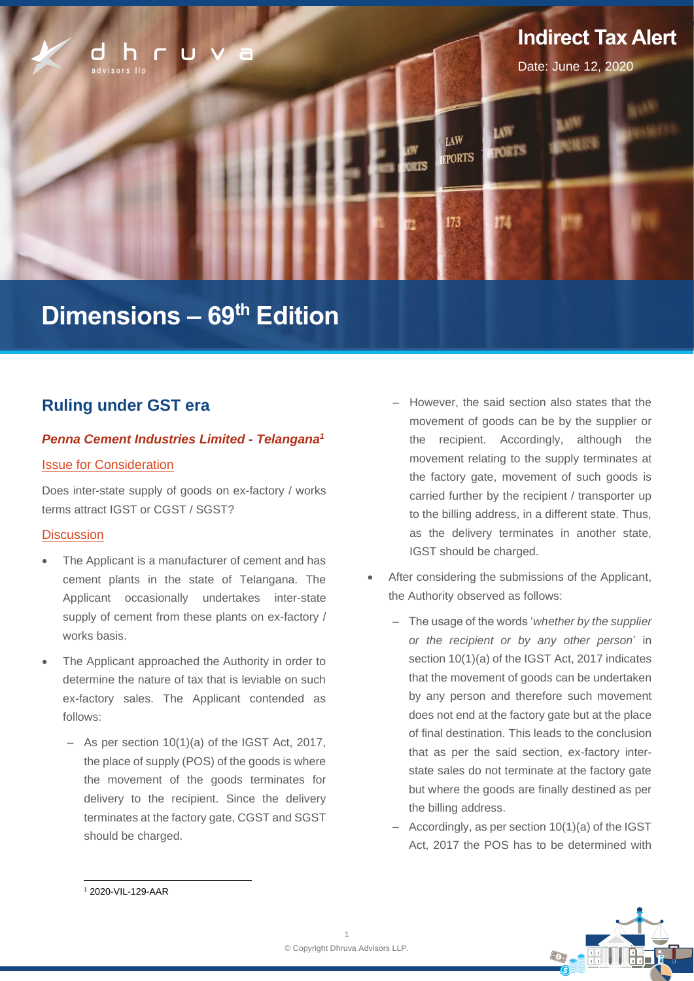

# **Dimensions – 69 th Edition**

# **Ruling under GST era**

### *Penna Cement Industries Limited - Telangana<sup>1</sup>*

### Issue for Consideration

Does inter-state supply of goods on ex-factory / works terms attract IGST or CGST / SGST?

### **Discussion**

- The Applicant is a manufacturer of cement and has cement plants in the state of Telangana. The Applicant occasionally undertakes inter-state supply of cement from these plants on ex-factory / works basis.
- The Applicant approached the Authority in order to determine the nature of tax that is leviable on such ex-factory sales. The Applicant contended as follows:
	- As per section 10(1)(a) of the IGST Act, 2017, the place of supply (POS) of the goods is where the movement of the goods terminates for delivery to the recipient. Since the delivery terminates at the factory gate, CGST and SGST should be charged.
- ‒ However, the said section also states that the movement of goods can be by the supplier or the recipient. Accordingly, although the movement relating to the supply terminates at the factory gate, movement of such goods is carried further by the recipient / transporter up to the billing address, in a different state. Thus, as the delivery terminates in another state, IGST should be charged.
- After considering the submissions of the Applicant, the Authority observed as follows:
	- ‒ The usage of the words '*whether by the supplier or the recipient or by any other person*' in section 10(1)(a) of the IGST Act, 2017 indicates that the movement of goods can be undertaken by any person and therefore such movement does not end at the factory gate but at the place of final destination. This leads to the conclusion that as per the said section, ex-factory interstate sales do not terminate at the factory gate but where the goods are finally destined as per the billing address.
	- ‒ Accordingly, as per section 10(1)(a) of the IGST Act, 2017 the POS has to be determined with



<sup>1</sup> 2020-VIL-129-AAR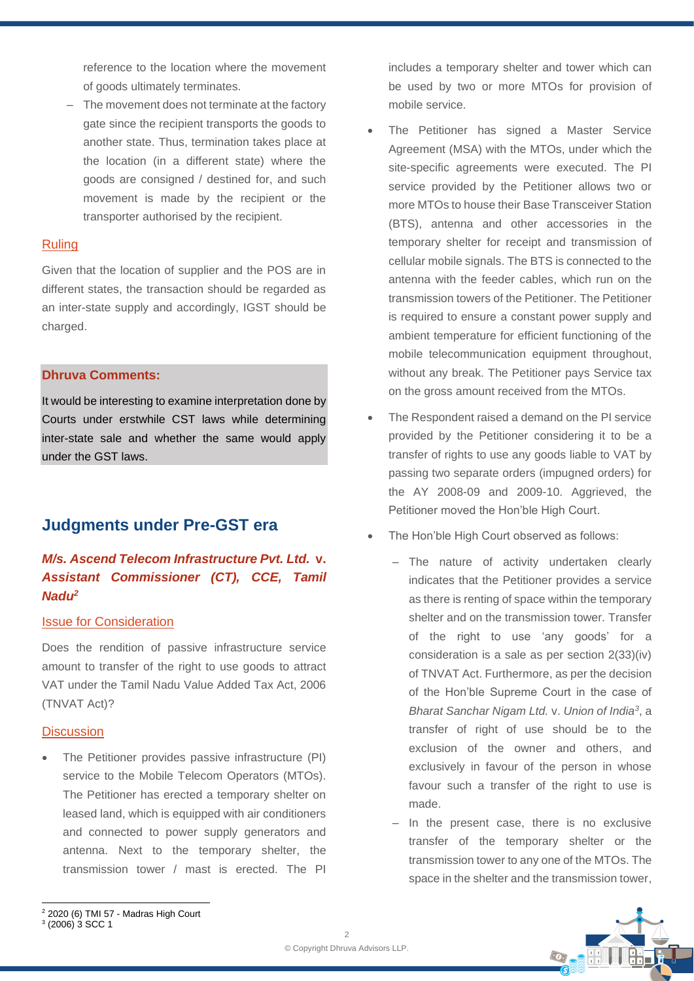reference to the location where the movement of goods ultimately terminates.

The movement does not terminate at the factory gate since the recipient transports the goods to another state. Thus, termination takes place at the location (in a different state) where the goods are consigned / destined for, and such movement is made by the recipient or the transporter authorised by the recipient.

### Ruling

Given that the location of supplier and the POS are in different states, the transaction should be regarded as an inter-state supply and accordingly, IGST should be charged.

### **Dhruva Comments:**

It would be interesting to examine interpretation done by Courts under erstwhile CST laws while determining inter-state sale and whether the same would apply under the GST laws.

# **Judgments under Pre-GST era**

## *M/s. Ascend Telecom Infrastructure Pvt. Ltd.* **v.**  *Assistant Commissioner (CT), CCE, Tamil Nadu<sup>2</sup>*

#### Issue for Consideration

Does the rendition of passive infrastructure service amount to transfer of the right to use goods to attract VAT under the Tamil Nadu Value Added Tax Act, 2006 (TNVAT Act)?

#### **Discussion**

The Petitioner provides passive infrastructure (PI) service to the Mobile Telecom Operators (MTOs). The Petitioner has erected a temporary shelter on leased land, which is equipped with air conditioners and connected to power supply generators and antenna. Next to the temporary shelter, the transmission tower / mast is erected. The PI

includes a temporary shelter and tower which can be used by two or more MTOs for provision of mobile service.

- The Petitioner has signed a Master Service Agreement (MSA) with the MTOs, under which the site-specific agreements were executed. The PI service provided by the Petitioner allows two or more MTOs to house their Base Transceiver Station (BTS), antenna and other accessories in the temporary shelter for receipt and transmission of cellular mobile signals. The BTS is connected to the antenna with the feeder cables, which run on the transmission towers of the Petitioner. The Petitioner is required to ensure a constant power supply and ambient temperature for efficient functioning of the mobile telecommunication equipment throughout, without any break. The Petitioner pays Service tax on the gross amount received from the MTOs.
- The Respondent raised a demand on the PI service provided by the Petitioner considering it to be a transfer of rights to use any goods liable to VAT by passing two separate orders (impugned orders) for the AY 2008-09 and 2009-10. Aggrieved, the Petitioner moved the Hon'ble High Court.
- The Hon'ble High Court observed as follows:
	- The nature of activity undertaken clearly indicates that the Petitioner provides a service as there is renting of space within the temporary shelter and on the transmission tower. Transfer of the right to use 'any goods' for a consideration is a sale as per section 2(33)(iv) of TNVAT Act. Furthermore, as per the decision of the Hon'ble Supreme Court in the case of *Bharat Sanchar Nigam Ltd.* v. *Union of India<sup>3</sup>* , a transfer of right of use should be to the exclusion of the owner and others, and exclusively in favour of the person in whose favour such a transfer of the right to use is made.
	- ‒ In the present case, there is no exclusive transfer of the temporary shelter or the transmission tower to any one of the MTOs. The space in the shelter and the transmission tower,



<sup>3</sup> (2006) 3 SCC 1

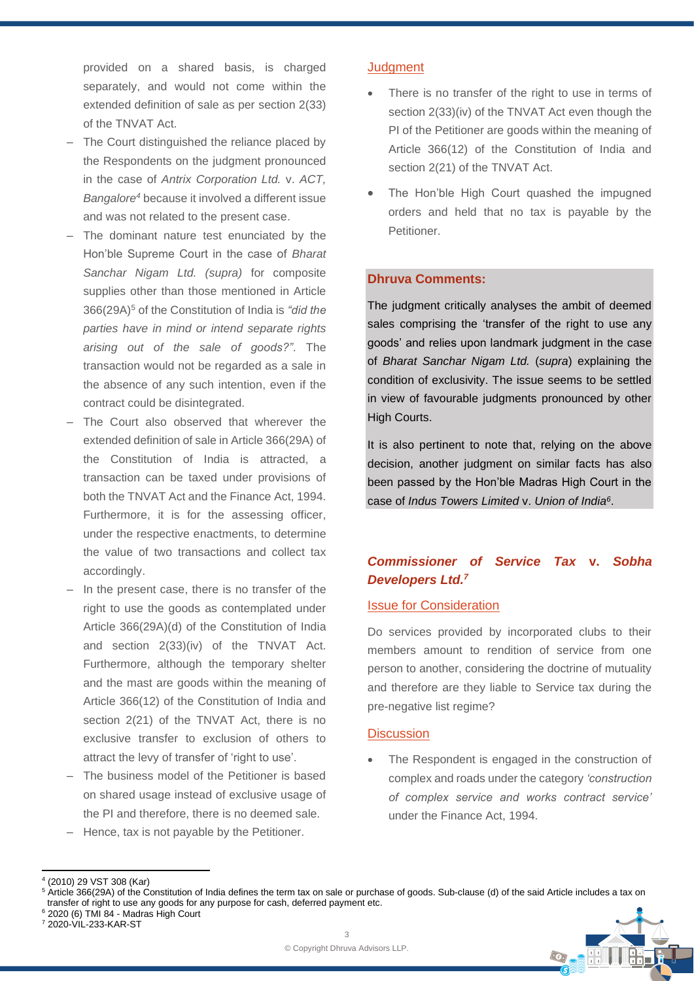provided on a shared basis, is charged separately, and would not come within the extended definition of sale as per section 2(33) of the TNVAT Act.

- The Court distinguished the reliance placed by the Respondents on the judgment pronounced in the case of *Antrix Corporation Ltd.* v. *ACT, Bangalore<sup>4</sup>* because it involved a different issue and was not related to the present case.
- The dominant nature test enunciated by the Hon'ble Supreme Court in the case of *Bharat Sanchar Nigam Ltd. (supra)* for composite supplies other than those mentioned in Article 366(29A)<sup>5</sup> of the Constitution of India is *"did the parties have in mind or intend separate rights arising out of the sale of goods?"*. The transaction would not be regarded as a sale in the absence of any such intention, even if the contract could be disintegrated.
- ‒ The Court also observed that wherever the extended definition of sale in Article 366(29A) of the Constitution of India is attracted, a transaction can be taxed under provisions of both the TNVAT Act and the Finance Act, 1994. Furthermore, it is for the assessing officer, under the respective enactments, to determine the value of two transactions and collect tax accordingly.
- In the present case, there is no transfer of the right to use the goods as contemplated under Article 366(29A)(d) of the Constitution of India and section 2(33)(iv) of the TNVAT Act. Furthermore, although the temporary shelter and the mast are goods within the meaning of Article 366(12) of the Constitution of India and section 2(21) of the TNVAT Act, there is no exclusive transfer to exclusion of others to attract the levy of transfer of 'right to use'.
- The business model of the Petitioner is based on shared usage instead of exclusive usage of the PI and therefore, there is no deemed sale.
- ‒ Hence, tax is not payable by the Petitioner.

### **Judgment**

- There is no transfer of the right to use in terms of section 2(33)(iv) of the TNVAT Act even though the PI of the Petitioner are goods within the meaning of Article 366(12) of the Constitution of India and section 2(21) of the TNVAT Act.
- The Hon'ble High Court quashed the impugned orders and held that no tax is payable by the Petitioner.

### **Dhruva Comments:**

The judgment critically analyses the ambit of deemed sales comprising the 'transfer of the right to use any goods' and relies upon landmark judgment in the case of *Bharat Sanchar Nigam Ltd.* (*supra*) explaining the condition of exclusivity. The issue seems to be settled in view of favourable judgments pronounced by other High Courts.

It is also pertinent to note that, relying on the above decision, another judgment on similar facts has also been passed by the Hon'ble Madras High Court in the case of *Indus Towers Limited* v. *Union of India<sup>6</sup>* .

## *Commissioner of Service Tax* **v.** *Sobha Developers Ltd. 7*

### Issue for Consideration

Do services provided by incorporated clubs to their members amount to rendition of service from one person to another, considering the doctrine of mutuality and therefore are they liable to Service tax during the pre-negative list regime?

#### **Discussion**

The Respondent is engaged in the construction of complex and roads under the category *'construction of complex service and works contract service'* under the Finance Act, 1994.

 $\odot$ 

<sup>4</sup> (2010) 29 VST 308 (Kar)

<sup>&</sup>lt;sup>5</sup> Article 366(29A) of the Constitution of India defines the term tax on sale or purchase of goods. Sub-clause (d) of the said Article includes a tax on transfer of right to use any goods for any purpose for cash, deferred payment etc. <sup>6</sup> 2020 (6) TMI 84 - Madras High Court

<sup>7</sup> 2020-VIL-233-KAR-ST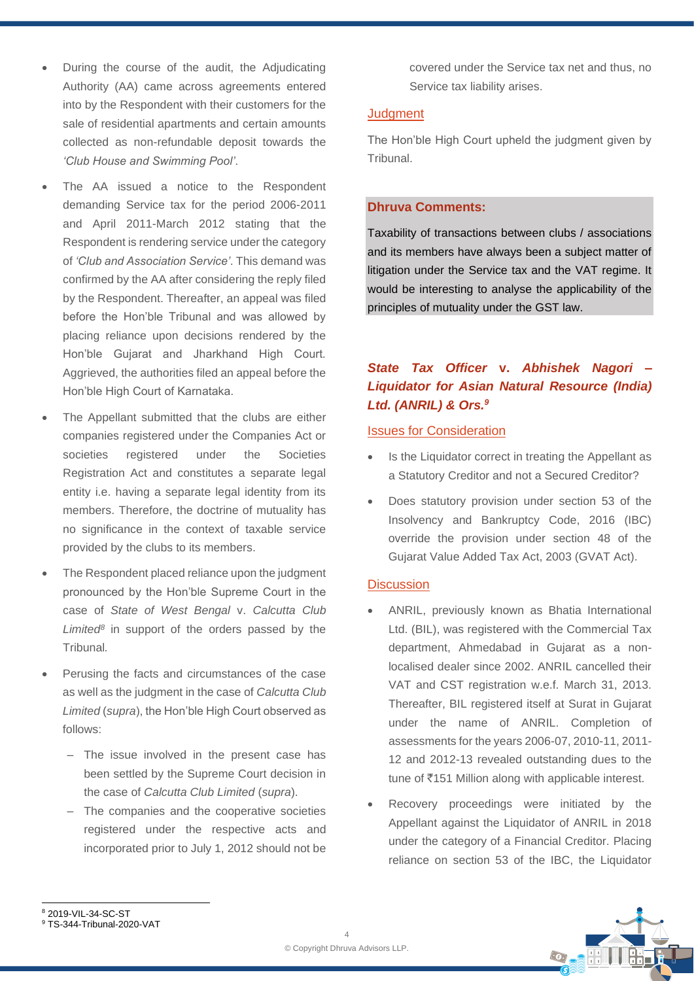- During the course of the audit, the Adjudicating Authority (AA) came across agreements entered into by the Respondent with their customers for the sale of residential apartments and certain amounts collected as non-refundable deposit towards the *'Club House and Swimming Pool'*.
- The AA issued a notice to the Respondent demanding Service tax for the period 2006-2011 and April 2011-March 2012 stating that the Respondent is rendering service under the category of *'Club and Association Service'*. This demand was confirmed by the AA after considering the reply filed by the Respondent. Thereafter, an appeal was filed before the Hon'ble Tribunal and was allowed by placing reliance upon decisions rendered by the Hon'ble Gujarat and Jharkhand High Court*.* Aggrieved, the authorities filed an appeal before the Hon'ble High Court of Karnataka.
- The Appellant submitted that the clubs are either companies registered under the Companies Act or societies registered under the Societies Registration Act and constitutes a separate legal entity i.e. having a separate legal identity from its members. Therefore, the doctrine of mutuality has no significance in the context of taxable service provided by the clubs to its members.
- The Respondent placed reliance upon the judgment pronounced by the Hon'ble Supreme Court in the case of *State of West Bengal* v. *Calcutta Club Limited<sup>8</sup>* in support of the orders passed by the Tribunal*.*
- Perusing the facts and circumstances of the case as well as the judgment in the case of *Calcutta Club Limited* (*supra*), the Hon'ble High Court observed as follows:
	- ‒ The issue involved in the present case has been settled by the Supreme Court decision in the case of *Calcutta Club Limited* (*supra*).
	- ‒ The companies and the cooperative societies registered under the respective acts and incorporated prior to July 1, 2012 should not be

covered under the Service tax net and thus, no Service tax liability arises.

### **Judament**

The Hon'ble High Court upheld the judgment given by Tribunal.

### **Dhruva Comments:**

Taxability of transactions between clubs / associations and its members have always been a subject matter of litigation under the Service tax and the VAT regime. It would be interesting to analyse the applicability of the principles of mutuality under the GST law.

# *State Tax Officer* **v.** *Abhishek Nagori – Liquidator for Asian Natural Resource (India) Ltd. (ANRIL) & Ors.<sup>9</sup>*

### Issues for Consideration

- Is the Liquidator correct in treating the Appellant as a Statutory Creditor and not a Secured Creditor?
- Does statutory provision under section 53 of the Insolvency and Bankruptcy Code, 2016 (IBC) override the provision under section 48 of the Gujarat Value Added Tax Act, 2003 (GVAT Act).

### **Discussion**

- ANRIL, previously known as Bhatia International Ltd. (BIL), was registered with the Commercial Tax department, Ahmedabad in Gujarat as a nonlocalised dealer since 2002. ANRIL cancelled their VAT and CST registration w.e.f. March 31, 2013. Thereafter, BIL registered itself at Surat in Gujarat under the name of ANRIL. Completion of assessments for the years 2006-07, 2010-11, 2011- 12 and 2012-13 revealed outstanding dues to the tune of  $\bar{c}$ 151 Million along with applicable interest.
- Recovery proceedings were initiated by the Appellant against the Liquidator of ANRIL in 2018 under the category of a Financial Creditor. Placing reliance on section 53 of the IBC, the Liquidator



<sup>8</sup> 2019-VIL-34-SC-ST

<sup>9</sup> TS-344-Tribunal-2020-VAT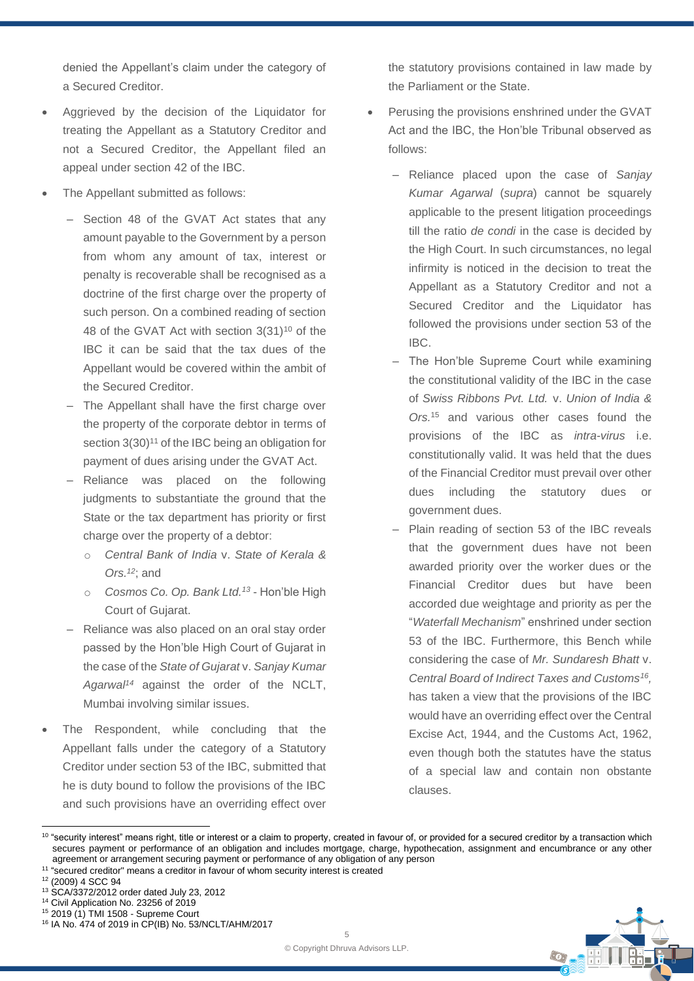denied the Appellant's claim under the category of a Secured Creditor.

- Aggrieved by the decision of the Liquidator for treating the Appellant as a Statutory Creditor and not a Secured Creditor, the Appellant filed an appeal under section 42 of the IBC.
- The Appellant submitted as follows:
	- Section 48 of the GVAT Act states that any amount payable to the Government by a person from whom any amount of tax, interest or penalty is recoverable shall be recognised as a doctrine of the first charge over the property of such person. On a combined reading of section 48 of the GVAT Act with section 3(31)<sup>10</sup> of the IBC it can be said that the tax dues of the Appellant would be covered within the ambit of the Secured Creditor.
	- The Appellant shall have the first charge over the property of the corporate debtor in terms of section 3(30)<sup>11</sup> of the IBC being an obligation for payment of dues arising under the GVAT Act.
	- Reliance was placed on the following judgments to substantiate the ground that the State or the tax department has priority or first charge over the property of a debtor:
		- o *Central Bank of India* v. *State of Kerala & Ors.<sup>12</sup>*; and
		- o *Cosmos Co. Op. Bank Ltd. <sup>13</sup>* Hon'ble High Court of Gujarat.
	- Reliance was also placed on an oral stay order passed by the Hon'ble High Court of Gujarat in the case of the *State of Gujarat* v. *Sanjay Kumar Agarwal<sup>14</sup>* against the order of the NCLT, Mumbai involving similar issues.
- The Respondent, while concluding that the Appellant falls under the category of a Statutory Creditor under section 53 of the IBC, submitted that he is duty bound to follow the provisions of the IBC and such provisions have an overriding effect over

the statutory provisions contained in law made by the Parliament or the State.

- Perusing the provisions enshrined under the GVAT Act and the IBC, the Hon'ble Tribunal observed as follows:
	- ‒ Reliance placed upon the case of *Sanjay Kumar Agarwal* (*supra*) cannot be squarely applicable to the present litigation proceedings till the ratio *de condi* in the case is decided by the High Court. In such circumstances, no legal infirmity is noticed in the decision to treat the Appellant as a Statutory Creditor and not a Secured Creditor and the Liquidator has followed the provisions under section 53 of the IBC.
	- The Hon'ble Supreme Court while examining the constitutional validity of the IBC in the case of *Swiss Ribbons Pvt. Ltd.* v. *Union of India & Ors.*<sup>15</sup> and various other cases found the provisions of the IBC as *intra-virus* i.e. constitutionally valid. It was held that the dues of the Financial Creditor must prevail over other dues including the statutory dues or government dues.
	- Plain reading of section 53 of the IBC reveals that the government dues have not been awarded priority over the worker dues or the Financial Creditor dues but have been accorded due weightage and priority as per the "*Waterfall Mechanism*" enshrined under section 53 of the IBC. Furthermore, this Bench while considering the case of *Mr. Sundaresh Bhatt* v. *Central Board of Indirect Taxes and Customs<sup>16</sup> ,* has taken a view that the provisions of the IBC would have an overriding effect over the Central Excise Act, 1944, and the Customs Act, 1962, even though both the statutes have the status of a special law and contain non obstante clauses.

<sup>11</sup> "secured creditor" means a creditor in favour of whom security interest is created

<sup>&</sup>lt;sup>10</sup> "security interest" means right, title or interest or a claim to property, created in favour of, or provided for a secured creditor by a transaction which secures payment or performance of an obligation and includes mortgage, charge, hypothecation, assignment and encumbrance or any other agreement or arrangement securing payment or performance of any obligation of any person

<sup>12</sup> (2009) 4 SCC 94

<sup>13</sup> SCA/3372/2012 order dated July 23, 2012

<sup>14</sup> Civil Application No. 23256 of 2019

<sup>15</sup> 2019 (1) TMI 1508 - Supreme Court

<sup>16</sup> IA No. 474 of 2019 in CP(IB) No. 53/NCLT/AHM/2017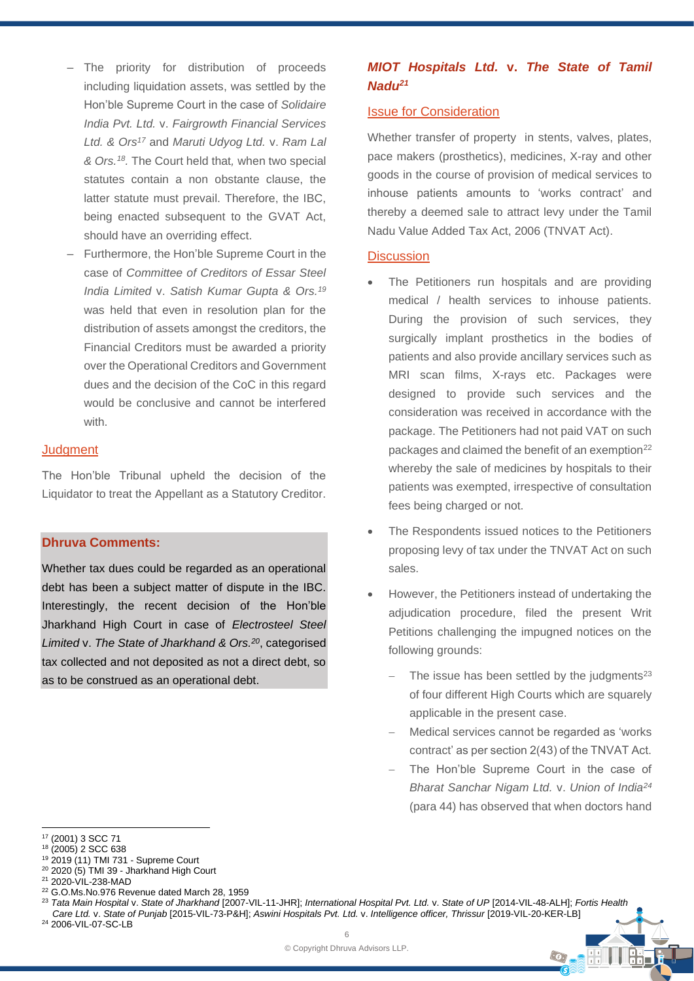- ‒ The priority for distribution of proceeds including liquidation assets, was settled by the Hon'ble Supreme Court in the case of *Solidaire India Pvt. Ltd.* v. *Fairgrowth Financial Services Ltd. & Ors<sup>17</sup>* and *Maruti Udyog Ltd.* v. *Ram Lal & Ors.<sup>18</sup> .* The Court held that*,* when two special statutes contain a non obstante clause, the latter statute must prevail. Therefore, the IBC, being enacted subsequent to the GVAT Act, should have an overriding effect.
- ‒ Furthermore, the Hon'ble Supreme Court in the case of *Committee of Creditors of Essar Steel India Limited* v. *Satish Kumar Gupta & Ors.<sup>19</sup>* was held that even in resolution plan for the distribution of assets amongst the creditors, the Financial Creditors must be awarded a priority over the Operational Creditors and Government dues and the decision of the CoC in this regard would be conclusive and cannot be interfered with.

#### **Judgment**

The Hon'ble Tribunal upheld the decision of the Liquidator to treat the Appellant as a Statutory Creditor.

### **Dhruva Comments:**

Whether tax dues could be regarded as an operational debt has been a subject matter of dispute in the IBC. Interestingly, the recent decision of the Hon'ble Jharkhand High Court in case of *Electrosteel Steel Limited* v. *The State of Jharkhand & Ors.<sup>20</sup>*, categorised tax collected and not deposited as not a direct debt, so as to be construed as an operational debt.

### *MIOT Hospitals Ltd.* **v.** *The State of Tamil Nadu<sup>21</sup>*

### Issue for Consideration

Whether transfer of property in stents, valves, plates, pace makers (prosthetics), medicines, X-ray and other goods in the course of provision of medical services to inhouse patients amounts to 'works contract' and thereby a deemed sale to attract levy under the Tamil Nadu Value Added Tax Act, 2006 (TNVAT Act).

#### **Discussion**

- The Petitioners run hospitals and are providing medical / health services to inhouse patients. During the provision of such services, they surgically implant prosthetics in the bodies of patients and also provide ancillary services such as MRI scan films, X-rays etc. Packages were designed to provide such services and the consideration was received in accordance with the package. The Petitioners had not paid VAT on such packages and claimed the benefit of an exemption<sup>22</sup> whereby the sale of medicines by hospitals to their patients was exempted, irrespective of consultation fees being charged or not.
- The Respondents issued notices to the Petitioners proposing levy of tax under the TNVAT Act on such sales.
- However, the Petitioners instead of undertaking the adjudication procedure, filed the present Writ Petitions challenging the impugned notices on the following grounds:
	- The issue has been settled by the judgments<sup>23</sup> of four different High Courts which are squarely applicable in the present case.
	- Medical services cannot be regarded as 'works contract' as per section 2(43) of the TNVAT Act.
	- The Hon'ble Supreme Court in the case of *Bharat Sanchar Nigam Ltd.* v. *Union of India<sup>24</sup>* (para 44) has observed that when doctors hand

 $\odot$ 

 $20$  2020 (5) TMI 39 - Jharkhand High Court

<sup>22</sup> G.O.Ms.No.976 Revenue dated March 28, 1959

<sup>17</sup> (2001) 3 SCC 71

<sup>18</sup> (2005) 2 SCC 638

<sup>19</sup> 2019 (11) TMI 731 - Supreme Court

<sup>21</sup> 2020-VIL-238-MAD

<sup>23</sup> *Tata Main Hospital* v. *State of Jharkhand* [2007-VIL-11-JHR]; *International Hospital Pvt. Ltd.* v. *State of UP* [2014-VIL-48-ALH]; *Fortis Health Care Ltd.* v. *State of Punjab* [2015-VIL-73-P&H]; *Aswini Hospitals Pvt. Ltd.* v. *Intelligence officer, Thrissur* [2019-VIL-20-KER-LB] <sup>24</sup> 2006-VIL-07-SC-LB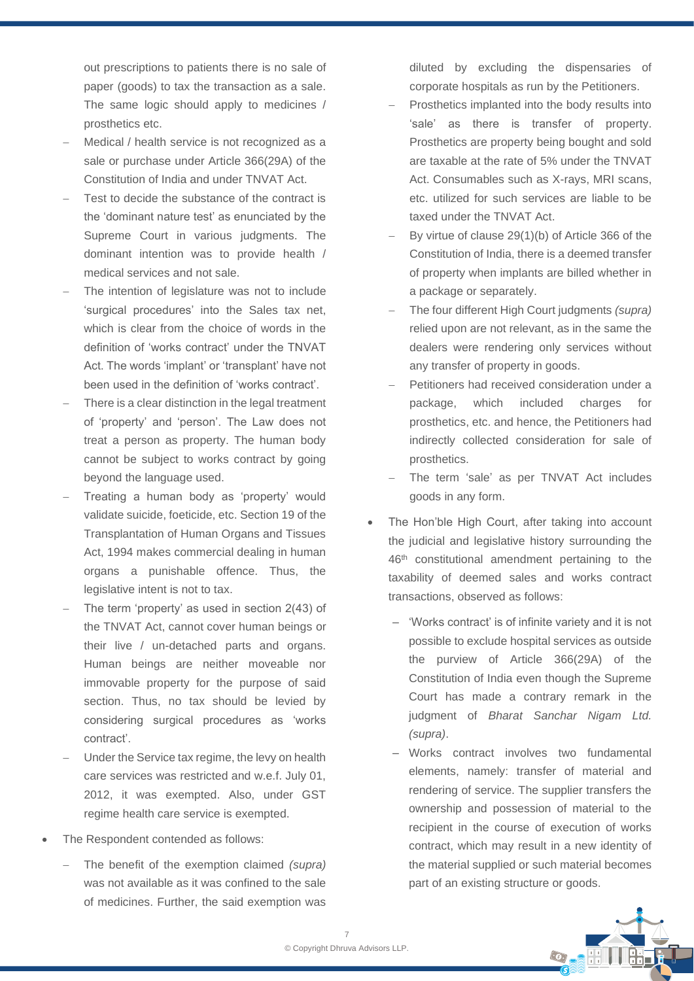out prescriptions to patients there is no sale of paper (goods) to tax the transaction as a sale. The same logic should apply to medicines / prosthetics etc.

- Medical / health service is not recognized as a sale or purchase under Article 366(29A) of the Constitution of India and under TNVAT Act.
- − Test to decide the substance of the contract is the 'dominant nature test' as enunciated by the Supreme Court in various judgments. The dominant intention was to provide health / medical services and not sale.
- The intention of legislature was not to include 'surgical procedures' into the Sales tax net, which is clear from the choice of words in the definition of 'works contract' under the TNVAT Act. The words 'implant' or 'transplant' have not been used in the definition of 'works contract'.
- There is a clear distinction in the legal treatment of 'property' and 'person'. The Law does not treat a person as property. The human body cannot be subject to works contract by going beyond the language used.
- Treating a human body as 'property' would validate suicide, foeticide, etc. Section 19 of the Transplantation of Human Organs and Tissues Act, 1994 makes commercial dealing in human organs a punishable offence. Thus, the legislative intent is not to tax.
- The term 'property' as used in section 2(43) of the TNVAT Act, cannot cover human beings or their live / un-detached parts and organs. Human beings are neither moveable nor immovable property for the purpose of said section. Thus, no tax should be levied by considering surgical procedures as 'works contract'.
- Under the Service tax regime, the levy on health care services was restricted and w.e.f. July 01, 2012, it was exempted. Also, under GST regime health care service is exempted.
- The Respondent contended as follows:
	- − The benefit of the exemption claimed *(supra)* was not available as it was confined to the sale of medicines. Further, the said exemption was

diluted by excluding the dispensaries of corporate hospitals as run by the Petitioners.

- Prosthetics implanted into the body results into 'sale' as there is transfer of property. Prosthetics are property being bought and sold are taxable at the rate of 5% under the TNVAT Act. Consumables such as X-rays, MRI scans, etc. utilized for such services are liable to be taxed under the TNVAT Act.
- By virtue of clause 29(1)(b) of Article 366 of the Constitution of India, there is a deemed transfer of property when implants are billed whether in a package or separately.
- − The four different High Court judgments *(supra)* relied upon are not relevant, as in the same the dealers were rendering only services without any transfer of property in goods.
- Petitioners had received consideration under a package, which included charges for prosthetics, etc. and hence, the Petitioners had indirectly collected consideration for sale of prosthetics.
- The term 'sale' as per TNVAT Act includes goods in any form.
- The Hon'ble High Court, after taking into account the judicial and legislative history surrounding the 46th constitutional amendment pertaining to the taxability of deemed sales and works contract transactions, observed as follows:
	- ‒ 'Works contract' is of infinite variety and it is not possible to exclude hospital services as outside the purview of Article 366(29A) of the Constitution of India even though the Supreme Court has made a contrary remark in the judgment of *Bharat Sanchar Nigam Ltd. (supra)*.
	- ‒ Works contract involves two fundamental elements, namely: transfer of material and rendering of service. The supplier transfers the ownership and possession of material to the recipient in the course of execution of works contract, which may result in a new identity of the material supplied or such material becomes part of an existing structure or goods.

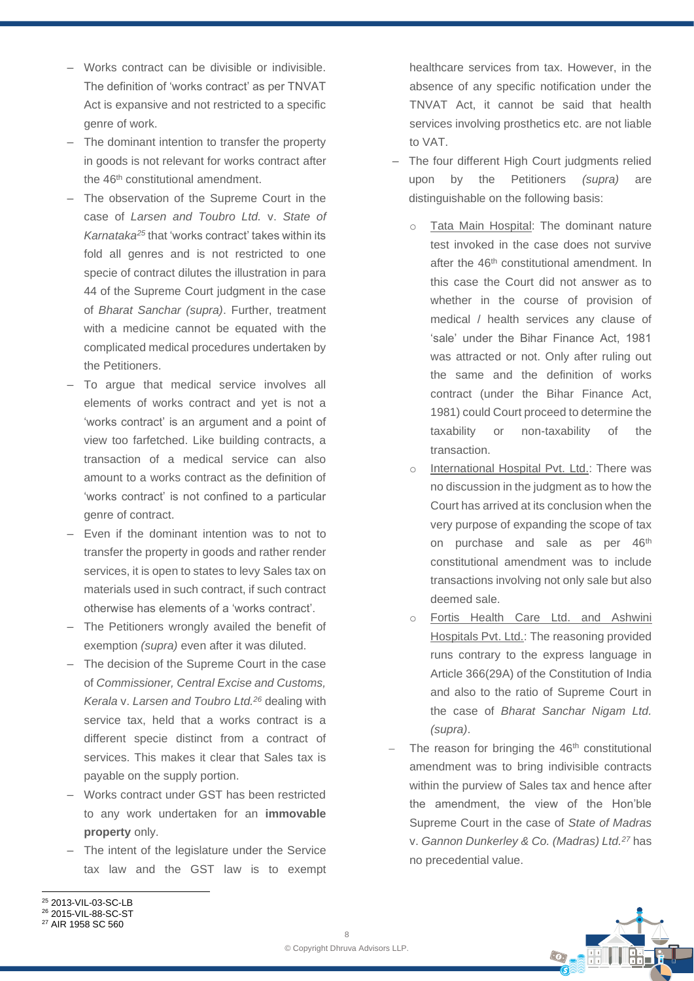- ‒ Works contract can be divisible or indivisible. The definition of 'works contract' as per TNVAT Act is expansive and not restricted to a specific genre of work.
- The dominant intention to transfer the property in goods is not relevant for works contract after the 46<sup>th</sup> constitutional amendment.
- ‒ The observation of the Supreme Court in the case of *Larsen and Toubro Ltd.* v. *State of Karnataka<sup>25</sup>* that 'works contract' takes within its fold all genres and is not restricted to one specie of contract dilutes the illustration in para 44 of the Supreme Court judgment in the case of *Bharat Sanchar (supra)*. Further, treatment with a medicine cannot be equated with the complicated medical procedures undertaken by the Petitioners.
- To arque that medical service involves all elements of works contract and yet is not a 'works contract' is an argument and a point of view too farfetched. Like building contracts, a transaction of a medical service can also amount to a works contract as the definition of 'works contract' is not confined to a particular genre of contract.
- ‒ Even if the dominant intention was to not to transfer the property in goods and rather render services, it is open to states to levy Sales tax on materials used in such contract, if such contract otherwise has elements of a 'works contract'.
- The Petitioners wrongly availed the benefit of exemption *(supra)* even after it was diluted.
- ‒ The decision of the Supreme Court in the case of *Commissioner, Central Excise and Customs, Kerala* v. *Larsen and Toubro Ltd.<sup>26</sup>* dealing with service tax, held that a works contract is a different specie distinct from a contract of services. This makes it clear that Sales tax is payable on the supply portion.
- ‒ Works contract under GST has been restricted to any work undertaken for an **immovable property** only.
- ‒ The intent of the legislature under the Service tax law and the GST law is to exempt

healthcare services from tax. However, in the absence of any specific notification under the TNVAT Act, it cannot be said that health services involving prosthetics etc. are not liable to VAT.

- The four different High Court judgments relied upon by the Petitioners *(supra)* are distinguishable on the following basis:
	- o Tata Main Hospital: The dominant nature test invoked in the case does not survive after the 46<sup>th</sup> constitutional amendment. In this case the Court did not answer as to whether in the course of provision of medical / health services any clause of 'sale' under the Bihar Finance Act, 1981 was attracted or not. Only after ruling out the same and the definition of works contract (under the Bihar Finance Act, 1981) could Court proceed to determine the taxability or non-taxability of the transaction.
	- o International Hospital Pvt. Ltd.: There was no discussion in the judgment as to how the Court has arrived at its conclusion when the very purpose of expanding the scope of tax on purchase and sale as per 46<sup>th</sup> constitutional amendment was to include transactions involving not only sale but also deemed sale.
	- o Fortis Health Care Ltd. and Ashwini Hospitals Pvt. Ltd.: The reasoning provided runs contrary to the express language in Article 366(29A) of the Constitution of India and also to the ratio of Supreme Court in the case of *Bharat Sanchar Nigam Ltd. (supra)*.
- The reason for bringing the 46<sup>th</sup> constitutional amendment was to bring indivisible contracts within the purview of Sales tax and hence after the amendment, the view of the Hon'ble Supreme Court in the case of *State of Madras* v. *Gannon Dunkerley & Co. (Madras) Ltd.<sup>27</sup>* has no precedential value.



<sup>25</sup> 2013-VIL-03-SC-LB <sup>26</sup> 2015-VIL-88-SC-ST

<sup>&</sup>lt;sup>27</sup> AIR 1958 SC 560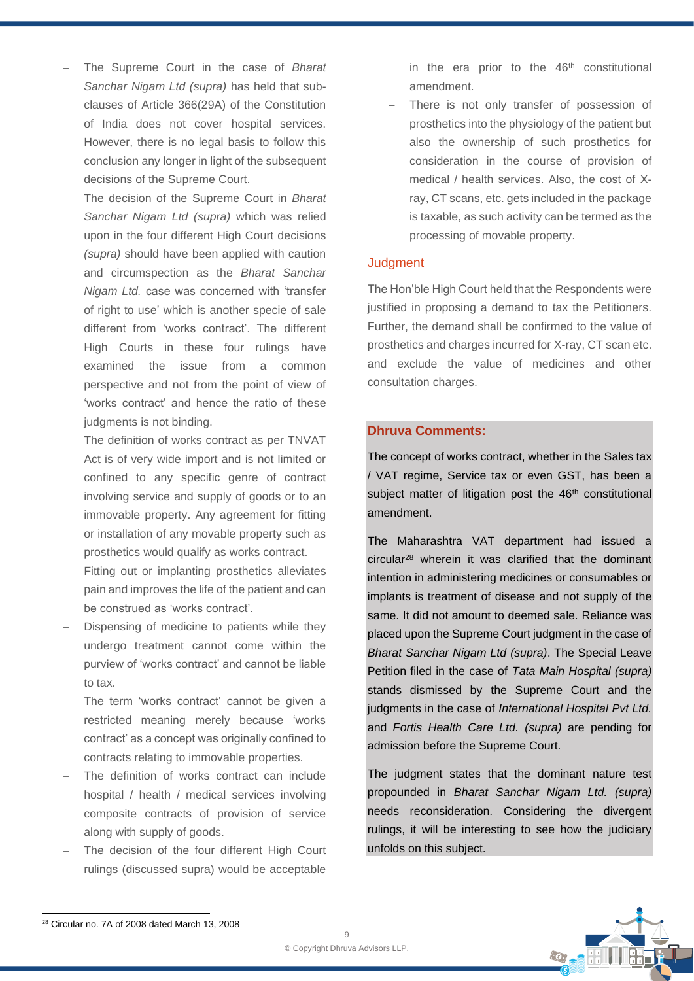- − The Supreme Court in the case of *Bharat Sanchar Nigam Ltd (supra)* has held that subclauses of Article 366(29A) of the Constitution of India does not cover hospital services. However, there is no legal basis to follow this conclusion any longer in light of the subsequent decisions of the Supreme Court.
- − The decision of the Supreme Court in *Bharat Sanchar Nigam Ltd (supra)* which was relied upon in the four different High Court decisions *(supra)* should have been applied with caution and circumspection as the *Bharat Sanchar Nigam Ltd.* case was concerned with 'transfer of right to use' which is another specie of sale different from 'works contract'. The different High Courts in these four rulings have examined the issue from a common perspective and not from the point of view of 'works contract' and hence the ratio of these judgments is not binding.
- The definition of works contract as per TNVAT Act is of very wide import and is not limited or confined to any specific genre of contract involving service and supply of goods or to an immovable property. Any agreement for fitting or installation of any movable property such as prosthetics would qualify as works contract.
- Fitting out or implanting prosthetics alleviates pain and improves the life of the patient and can be construed as 'works contract'.
- Dispensing of medicine to patients while they undergo treatment cannot come within the purview of 'works contract' and cannot be liable to tax.
- The term 'works contract' cannot be given a restricted meaning merely because 'works contract' as a concept was originally confined to contracts relating to immovable properties.
- The definition of works contract can include hospital / health / medical services involving composite contracts of provision of service along with supply of goods.
- The decision of the four different High Court rulings (discussed supra) would be acceptable

in the era prior to the  $46<sup>th</sup>$  constitutional amendment.

There is not only transfer of possession of prosthetics into the physiology of the patient but also the ownership of such prosthetics for consideration in the course of provision of medical / health services. Also, the cost of Xray, CT scans, etc. gets included in the package is taxable, as such activity can be termed as the processing of movable property.

#### **Judgment**

The Hon'ble High Court held that the Respondents were justified in proposing a demand to tax the Petitioners. Further, the demand shall be confirmed to the value of prosthetics and charges incurred for X-ray, CT scan etc. and exclude the value of medicines and other consultation charges.

### **Dhruva Comments:**

The concept of works contract, whether in the Sales tax / VAT regime, Service tax or even GST, has been a subject matter of litigation post the 46<sup>th</sup> constitutional amendment.

The Maharashtra VAT department had issued a circular<sup>28</sup> wherein it was clarified that the dominant intention in administering medicines or consumables or implants is treatment of disease and not supply of the same. It did not amount to deemed sale. Reliance was placed upon the Supreme Court judgment in the case of *Bharat Sanchar Nigam Ltd (supra)*. The Special Leave Petition filed in the case of *Tata Main Hospital (supra)* stands dismissed by the Supreme Court and the judgments in the case of *International Hospital Pvt Ltd.* and *Fortis Health Care Ltd. (supra)* are pending for admission before the Supreme Court.

The judgment states that the dominant nature test propounded in *Bharat Sanchar Nigam Ltd. (supra)* needs reconsideration. Considering the divergent rulings, it will be interesting to see how the judiciary unfolds on this subject.

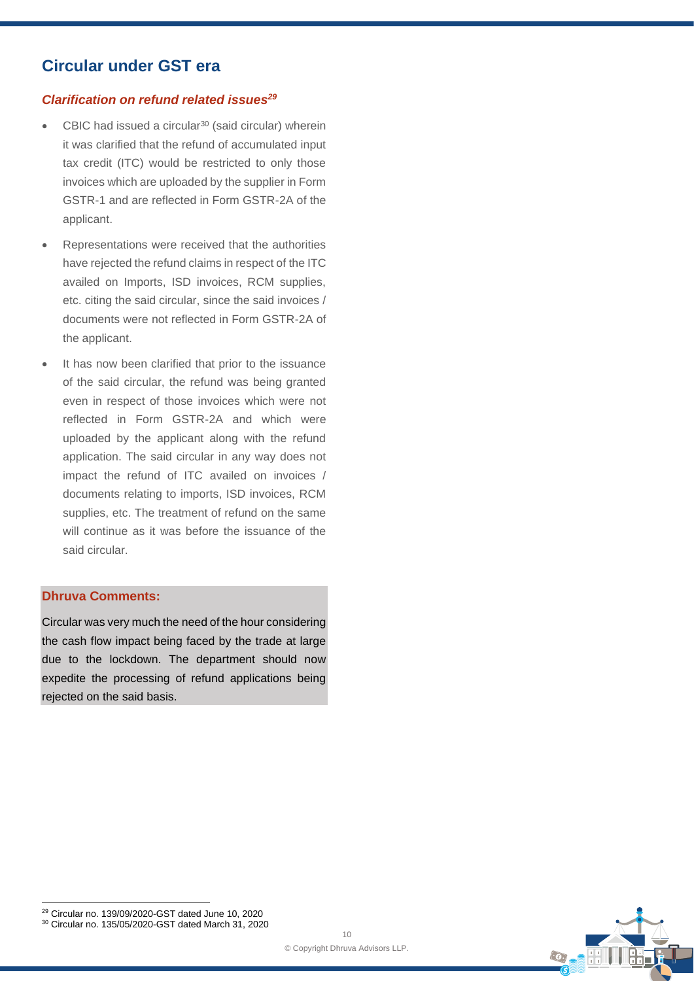# **Circular under GST era**

### *Clarification on refund related issues<sup>29</sup>*

- CBIC had issued a circular<sup>30</sup> (said circular) wherein it was clarified that the refund of accumulated input tax credit (ITC) would be restricted to only those invoices which are uploaded by the supplier in Form GSTR-1 and are reflected in Form GSTR-2A of the applicant.
- Representations were received that the authorities have rejected the refund claims in respect of the ITC availed on Imports, ISD invoices, RCM supplies, etc. citing the said circular, since the said invoices / documents were not reflected in Form GSTR-2A of the applicant.
- It has now been clarified that prior to the issuance of the said circular, the refund was being granted even in respect of those invoices which were not reflected in Form GSTR-2A and which were uploaded by the applicant along with the refund application. The said circular in any way does not impact the refund of ITC availed on invoices / documents relating to imports, ISD invoices, RCM supplies, etc. The treatment of refund on the same will continue as it was before the issuance of the said circular.

### **Dhruva Comments:**

Circular was very much the need of the hour considering the cash flow impact being faced by the trade at large due to the lockdown. The department should now expedite the processing of refund applications being rejected on the said basis.



<sup>30</sup> Circular no. 135/05/2020-GST dated March 31, 2020

<sup>29</sup> Circular no. 139/09/2020-GST dated June 10, 2020